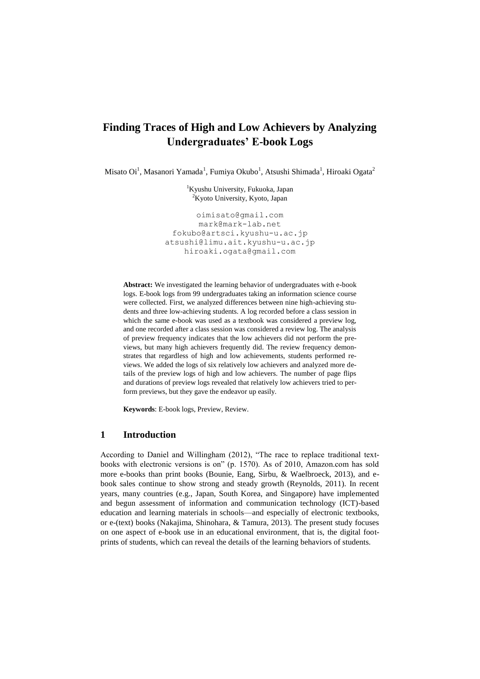# **Finding Traces of High and Low Achievers by Analyzing Undergraduates' E-book Logs**

Misato Oi $^1$ , Masanori Yamada $^1$ , Fumiya Okubo $^1$ , Atsushi Shimada $^1$ , Hiroaki Ogata $^2$ 

<sup>1</sup>Kyushu University, Fukuoka, Japan <sup>2</sup>Kyoto University, Kyoto, Japan

oimisato@gmail.com mark@mark-lab.net fokubo@artsci.kyushu-u.ac.jp atsushi@limu.ait.kyushu-u.ac.jp hiroaki.ogata@gmail.com

**Abstract:** We investigated the learning behavior of undergraduates with e-book logs. E-book logs from 99 undergraduates taking an information science course were collected. First, we analyzed differences between nine high-achieving students and three low-achieving students. A log recorded before a class session in which the same e-book was used as a textbook was considered a preview log, and one recorded after a class session was considered a review log. The analysis of preview frequency indicates that the low achievers did not perform the previews, but many high achievers frequently did. The review frequency demonstrates that regardless of high and low achievements, students performed reviews. We added the logs of six relatively low achievers and analyzed more details of the preview logs of high and low achievers. The number of page flips and durations of preview logs revealed that relatively low achievers tried to perform previews, but they gave the endeavor up easily.

**Keywords**: E-book logs, Preview, Review.

#### **1 Introduction**

According to Daniel and Willingham (2012), "The race to replace traditional textbooks with electronic versions is on" (p. 1570). As of 2010, Amazon.com has sold more e-books than print books (Bounie, Eang, Sirbu, & Waelbroeck, 2013), and ebook sales continue to show strong and steady growth (Reynolds, 2011). In recent years, many countries (e.g., Japan, South Korea, and Singapore) have implemented and begun assessment of information and communication technology (ICT)-based education and learning materials in schools—and especially of electronic textbooks, or e-(text) books (Nakajima, Shinohara, & Tamura, 2013). The present study focuses on one aspect of e-book use in an educational environment, that is, the digital footprints of students, which can reveal the details of the learning behaviors of students.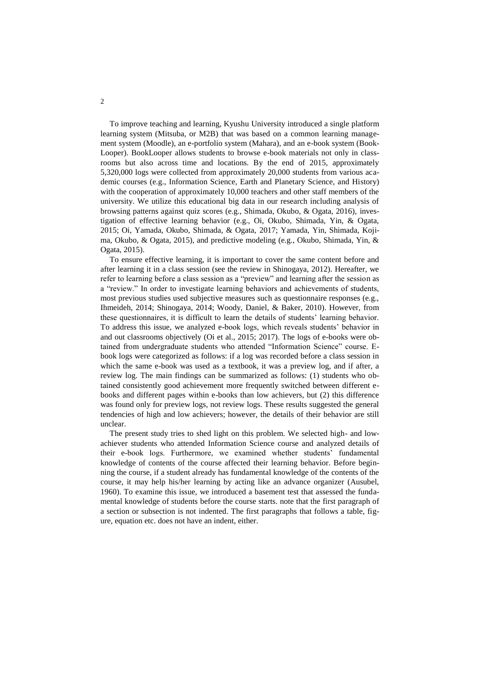To improve teaching and learning, Kyushu University introduced a single platform learning system (Mitsuba, or M2B) that was based on a common learning management system (Moodle), an e-portfolio system (Mahara), and an e-book system (Book-Looper). BookLooper allows students to browse e-book materials not only in classrooms but also across time and locations. By the end of 2015, approximately 5,320,000 logs were collected from approximately 20,000 students from various academic courses (e.g., Information Science, Earth and Planetary Science, and History) with the cooperation of approximately 10,000 teachers and other staff members of the university. We utilize this educational big data in our research including analysis of browsing patterns against quiz scores (e.g., Shimada, Okubo, & Ogata, 2016), investigation of effective learning behavior (e.g., Oi, Okubo, Shimada, Yin, & Ogata, 2015; Oi, Yamada, Okubo, Shimada, & Ogata, 2017; Yamada, Yin, Shimada, Kojima, Okubo, & Ogata, 2015), and predictive modeling (e.g., Okubo, Shimada, Yin, & Ogata, 2015).

To ensure effective learning, it is important to cover the same content before and after learning it in a class session (see the review in Shinogaya, 2012). Hereafter, we refer to learning before a class session as a "preview" and learning after the session as a "review." In order to investigate learning behaviors and achievements of students, most previous studies used subjective measures such as questionnaire responses (e.g., Ihmeideh, 2014; Shinogaya, 2014; Woody, Daniel, & Baker, 2010). However, from these questionnaires, it is difficult to learn the details of students' learning behavior. To address this issue, we analyzed e-book logs, which reveals students' behavior in and out classrooms objectively (Oi et al., 2015; 2017). The logs of e-books were obtained from undergraduate students who attended "Information Science" course. Ebook logs were categorized as follows: if a log was recorded before a class session in which the same e-book was used as a textbook, it was a preview log, and if after, a review log. The main findings can be summarized as follows: (1) students who obtained consistently good achievement more frequently switched between different ebooks and different pages within e-books than low achievers, but (2) this difference was found only for preview logs, not review logs. These results suggested the general tendencies of high and low achievers; however, the details of their behavior are still unclear.

The present study tries to shed light on this problem. We selected high- and lowachiever students who attended Information Science course and analyzed details of their e-book logs. Furthermore, we examined whether students' fundamental knowledge of contents of the course affected their learning behavior. Before beginning the course, if a student already has fundamental knowledge of the contents of the course, it may help his/her learning by acting like an advance organizer (Ausubel, 1960). To examine this issue, we introduced a basement test that assessed the fundamental knowledge of students before the course starts. note that the first paragraph of a section or subsection is not indented. The first paragraphs that follows a table, figure, equation etc. does not have an indent, either.

2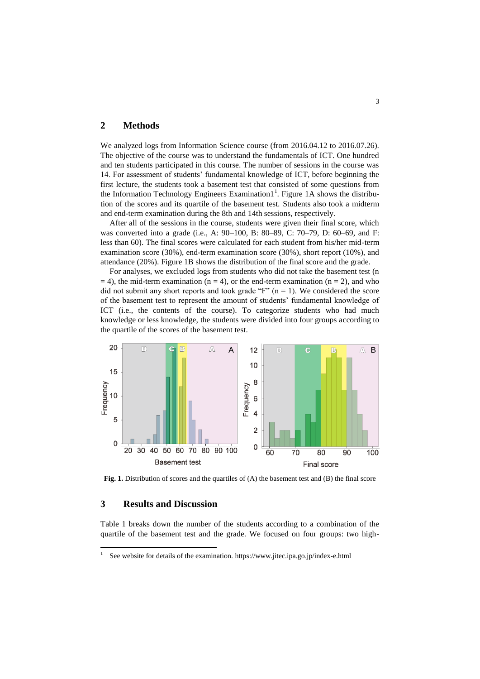#### **2 Methods**

We analyzed logs from Information Science course (from 2016.04.12 to 2016.07.26). The objective of the course was to understand the fundamentals of ICT. One hundred and ten students participated in this course. The number of sessions in the course was 14. For assessment of students' fundamental knowledge of ICT, before beginning the first lecture, the students took a basement test that consisted of some questions from the Information Technology Engineers Examination $1^1$ . Figure 1A shows the distribution of the scores and its quartile of the basement test. Students also took a midterm and end-term examination during the 8th and 14th sessions, respectively.

After all of the sessions in the course, students were given their final score, which was converted into a grade (i.e., A: 90–100, B: 80–89, C: 70–79, D: 60–69, and F: less than 60). The final scores were calculated for each student from his/her mid-term examination score (30%), end-term examination score (30%), short report (10%), and attendance (20%). Figure 1B shows the distribution of the final score and the grade.

For analyses, we excluded logs from students who did not take the basement test (n  $= 4$ ), the mid-term examination (n = 4), or the end-term examination (n = 2), and who did not submit any short reports and took grade "F"  $(n = 1)$ . We considered the score of the basement test to represent the amount of students' fundamental knowledge of ICT (i.e., the contents of the course). To categorize students who had much knowledge or less knowledge, the students were divided into four groups according to the quartile of the scores of the basement test.



Fig. 1. Distribution of scores and the quartiles of (A) the basement test and (B) the final score

### **3 Results and Discussion**

 $\overline{a}$ 

Table 1 breaks down the number of the students according to a combination of the quartile of the basement test and the grade. We focused on four groups: two high-

<sup>1</sup> See website for details of the examination. https://www.jitec.ipa.go.jp/index-e.html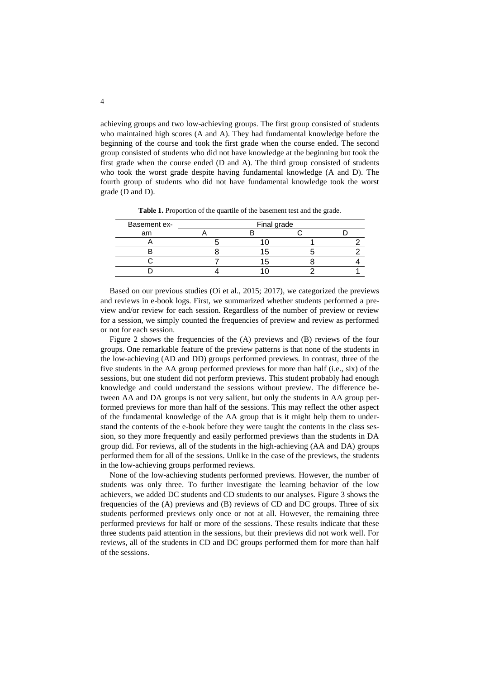achieving groups and two low-achieving groups. The first group consisted of students who maintained high scores (A and A). They had fundamental knowledge before the beginning of the course and took the first grade when the course ended. The second group consisted of students who did not have knowledge at the beginning but took the first grade when the course ended (D and A). The third group consisted of students who took the worst grade despite having fundamental knowledge (A and D). The fourth group of students who did not have fundamental knowledge took the worst grade (D and D).

| Basement ex- | Final grade |  |  |  |
|--------------|-------------|--|--|--|
| am           |             |  |  |  |
|              |             |  |  |  |
|              |             |  |  |  |
|              |             |  |  |  |
|              |             |  |  |  |

**Table 1.** Proportion of the quartile of the basement test and the grade.

Based on our previous studies (Oi et al., 2015; 2017), we categorized the previews and reviews in e-book logs. First, we summarized whether students performed a preview and/or review for each session. Regardless of the number of preview or review for a session, we simply counted the frequencies of preview and review as performed or not for each session.

Figure 2 shows the frequencies of the (A) previews and (B) reviews of the four groups. One remarkable feature of the preview patterns is that none of the students in the low-achieving (AD and DD) groups performed previews. In contrast, three of the five students in the AA group performed previews for more than half (i.e., six) of the sessions, but one student did not perform previews. This student probably had enough knowledge and could understand the sessions without preview. The difference between AA and DA groups is not very salient, but only the students in AA group performed previews for more than half of the sessions. This may reflect the other aspect of the fundamental knowledge of the AA group that is it might help them to understand the contents of the e-book before they were taught the contents in the class session, so they more frequently and easily performed previews than the students in DA group did. For reviews, all of the students in the high-achieving (AA and DA) groups performed them for all of the sessions. Unlike in the case of the previews, the students in the low-achieving groups performed reviews.

None of the low-achieving students performed previews. However, the number of students was only three. To further investigate the learning behavior of the low achievers, we added DC students and CD students to our analyses. Figure 3 shows the frequencies of the (A) previews and (B) reviews of CD and DC groups. Three of six students performed previews only once or not at all. However, the remaining three performed previews for half or more of the sessions. These results indicate that these three students paid attention in the sessions, but their previews did not work well. For reviews, all of the students in CD and DC groups performed them for more than half of the sessions.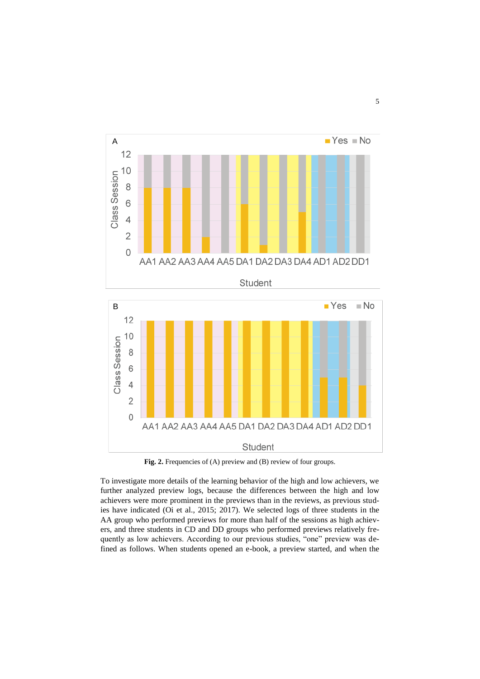



Fig. 2. Frequencies of (A) preview and (B) review of four groups.

To investigate more details of the learning behavior of the high and low achievers, we further analyzed preview logs, because the differences between the high and low achievers were more prominent in the previews than in the reviews, as previous studies have indicated (Oi et al., 2015; 2017). We selected logs of three students in the AA group who performed previews for more than half of the sessions as high achievers, and three students in CD and DD groups who performed previews relatively frequently as low achievers. According to our previous studies, "one" preview was defined as follows. When students opened an e-book, a preview started, and when the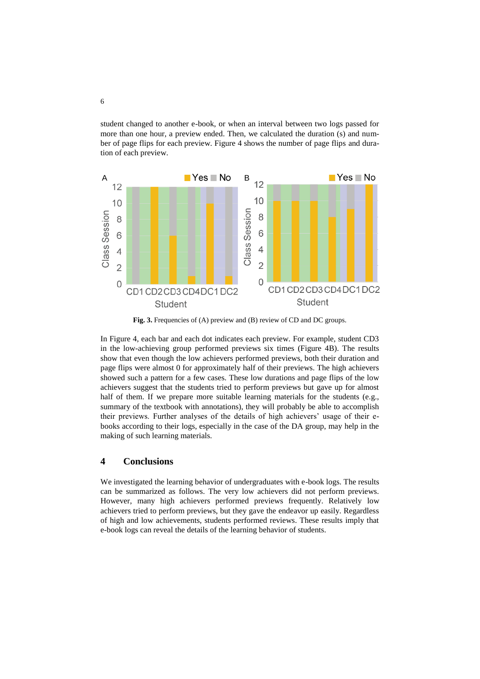student changed to another e-book, or when an interval between two logs passed for more than one hour, a preview ended. Then, we calculated the duration (s) and number of page flips for each preview. Figure 4 shows the number of page flips and duration of each preview.



Fig. 3. Frequencies of (A) preview and (B) review of CD and DC groups.

In Figure 4, each bar and each dot indicates each preview. For example, student CD3 in the low-achieving group performed previews six times (Figure 4B). The results show that even though the low achievers performed previews, both their duration and page flips were almost 0 for approximately half of their previews. The high achievers showed such a pattern for a few cases. These low durations and page flips of the low achievers suggest that the students tried to perform previews but gave up for almost half of them. If we prepare more suitable learning materials for the students (e.g., summary of the textbook with annotations), they will probably be able to accomplish their previews. Further analyses of the details of high achievers' usage of their ebooks according to their logs, especially in the case of the DA group, may help in the making of such learning materials.

#### **4 Conclusions**

We investigated the learning behavior of undergraduates with e-book logs. The results can be summarized as follows. The very low achievers did not perform previews. However, many high achievers performed previews frequently. Relatively low achievers tried to perform previews, but they gave the endeavor up easily. Regardless of high and low achievements, students performed reviews. These results imply that e-book logs can reveal the details of the learning behavior of students.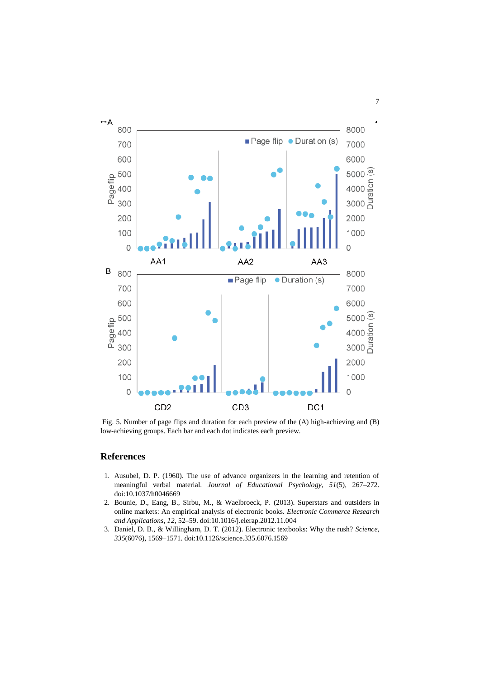

Fig. 5. Number of page flips and duration for each preview of the (A) high-achieving and (B) low-achieving groups. Each bar and each dot indicates each preview.

## **References**

- 1. Ausubel, D. P. (1960). The use of advance organizers in the learning and retention of meaningful verbal material. *Journal of Educational Psychology*, *51*(5), 267–272. doi:10.1037/h0046669
- 2. Bounie, D., Eang, B., Sirbu, M., & Waelbroeck, P. (2013). Superstars and outsiders in online markets: An empirical analysis of electronic books. *Electronic Commerce Research and Applications*, *12*, 52–59. doi:10.1016/j.elerap.2012.11.004
- 3. Daniel, D. B., & Willingham, D. T. (2012). Electronic textbooks: Why the rush? *Science*, *335*(6076), 1569–1571. doi:10.1126/science.335.6076.1569